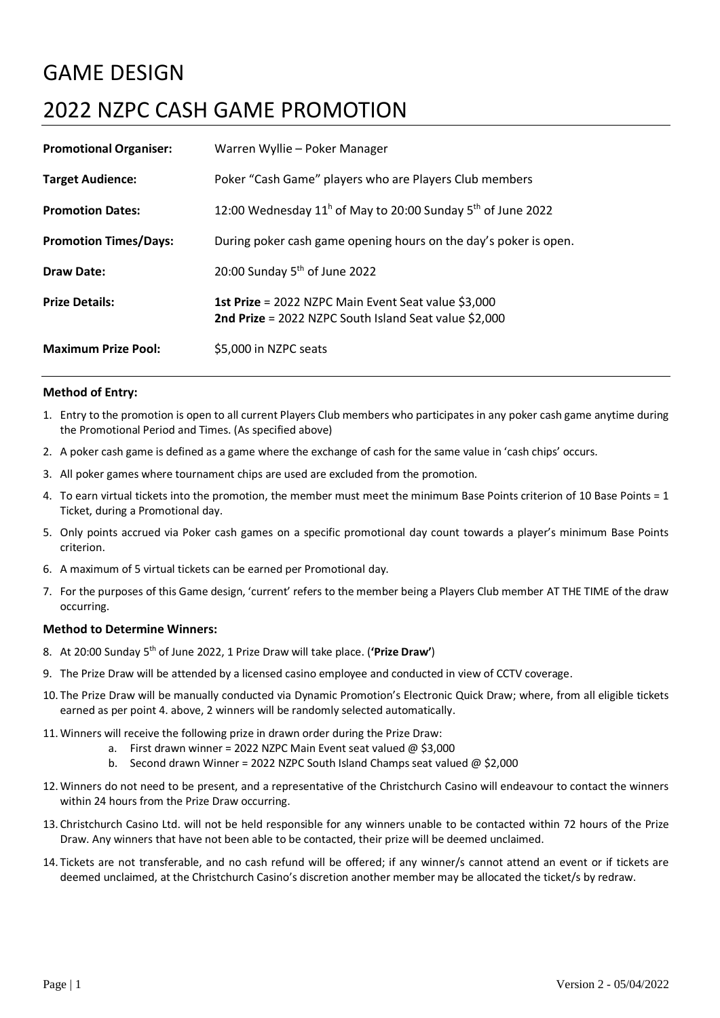## GAME DESIGN

# 2022 NZPC CASH GAME PROMOTION

| <b>Promotional Organiser:</b> | Warren Wyllie – Poker Manager                                                                                |
|-------------------------------|--------------------------------------------------------------------------------------------------------------|
| <b>Target Audience:</b>       | Poker "Cash Game" players who are Players Club members                                                       |
| <b>Promotion Dates:</b>       | 12:00 Wednesday $11^h$ of May to 20:00 Sunday $5^h$ of June 2022                                             |
| <b>Promotion Times/Days:</b>  | During poker cash game opening hours on the day's poker is open.                                             |
| <b>Draw Date:</b>             | 20:00 Sunday $5th$ of June 2022                                                                              |
| <b>Prize Details:</b>         | 1st Prize = 2022 NZPC Main Event Seat value \$3,000<br>2nd Prize = 2022 NZPC South Island Seat value \$2,000 |
| <b>Maximum Prize Pool:</b>    | \$5,000 in NZPC seats                                                                                        |

### **Method of Entry:**

- 1. Entry to the promotion is open to all current Players Club members who participates in any poker cash game anytime during the Promotional Period and Times. (As specified above)
- 2. A poker cash game is defined as a game where the exchange of cash for the same value in 'cash chips' occurs.
- 3. All poker games where tournament chips are used are excluded from the promotion.
- 4. To earn virtual tickets into the promotion, the member must meet the minimum Base Points criterion of 10 Base Points = 1 Ticket, during a Promotional day.
- 5. Only points accrued via Poker cash games on a specific promotional day count towards a player's minimum Base Points criterion.
- 6. A maximum of 5 virtual tickets can be earned per Promotional day.
- 7. For the purposes of this Game design, 'current' refers to the member being a Players Club member AT THE TIME of the draw occurring.

#### **Method to Determine Winners:**

- 8. At 20:00 Sunday 5<sup>th</sup> of June 2022, 1 Prize Draw will take place. ('Prize Draw')
- 9. The Prize Draw will be attended by a licensed casino employee and conducted in view of CCTV coverage.
- 10. The Prize Draw will be manually conducted via Dynamic Promotion's Electronic Quick Draw; where, from all eligible tickets earned as per point 4. above, 2 winners will be randomly selected automatically.
- 11. Winners will receive the following prize in drawn order during the Prize Draw:
	- a. First drawn winner = 2022 NZPC Main Event seat valued  $\omega$  \$3,000
	- b. Second drawn Winner = 2022 NZPC South Island Champs seat valued @ \$2,000
- 12. Winners do not need to be present, and a representative of the Christchurch Casino will endeavour to contact the winners within 24 hours from the Prize Draw occurring.
- 13. Christchurch Casino Ltd. will not be held responsible for any winners unable to be contacted within 72 hours of the Prize Draw. Any winners that have not been able to be contacted, their prize will be deemed unclaimed.
- 14. Tickets are not transferable, and no cash refund will be offered; if any winner/s cannot attend an event or if tickets are deemed unclaimed, at the Christchurch Casino's discretion another member may be allocated the ticket/s by redraw.